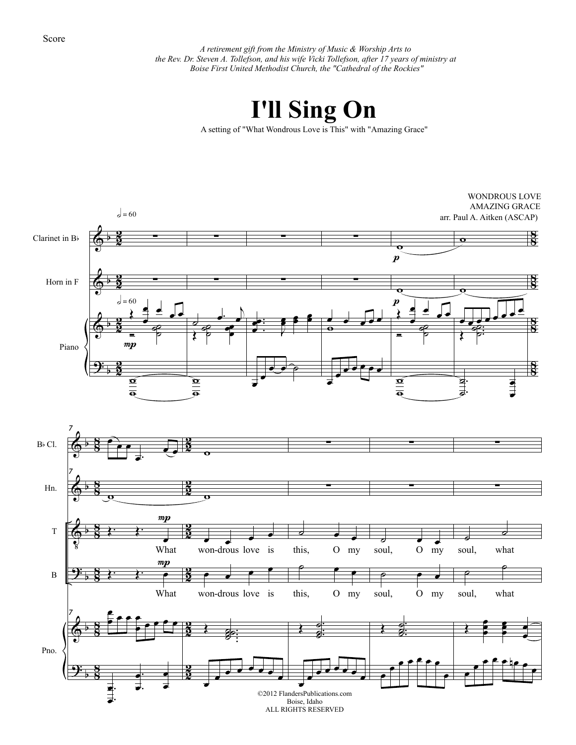*A retirement gift from the Ministry of Music & Worship Arts to the Rev. Dr. Steven A. Tollefson, and his wife Vicki Tollefson, after 17 years of ministry at Boise First United Methodist Church, the "Cathedral of the Rockies"*

## **I'll Sing On**

A setting of "What Wondrous Love is This" with "Amazing Grace"

WONDROUS LOVE

 $\pmb{\Phi}$  $\pmb{\Phi}$  $\pmb{\Phi}$ <u>.</u> b b b b  $\frac{8}{2}$ <u>እ</u>  $\frac{8}{2}$ <u>እ</u>  $\frac{8}{2}$ <u>እ</u>  $\frac{8}{2}$ <u>እ</u> 8<br>8 8 8<br>8 8 8 8 8 8 Clarinet in Bb Horn in F Piano ∑ ∑  $\sum_{n=1}^{\infty}$  $\frac{e}{e}$   $\frac{e}{e}$  $\frac{1}{\sqrt{2}}$ ˙  $\overline{\mathbf{o}}$ w  $\epsilon = 60$  $\epsilon = 60$  $mp$ ∑ ∑  $rac{\cdot}{\cdot}$ œ ے<br>پہ  $\frac{1}{2}$ œ w  $\overline{\overline{a}}$ ∑ ∑ . .  $\mathbf{r}$  $\mathcal{I}$   $\longrightarrow$ œ œ œ  $\cdot$   $\cdot$ œ  $\overline{\phantom{a}}$  $\bullet$   $\hat{\ }$ ∑ ∑ <sup>œ</sup> <sup>œ</sup> <sup>œ</sup> <sup>œ</sup> <sup>œ</sup> <sup>w</sup>  $\cdot$  $\overline{\mathbf{o}}$ w 。<br><u> )</u><br> <u>(</u>  $\frac{e}{e}$   $\frac{e}{e}$  $\frac{1}{\sqrt{2}}$ ˙ w  $\overline{\mathbf{e}}$  $\boldsymbol{p}$ p  $\overline{\mathbf{o}}$ w  $\frac{1}{\sqrt{2}}$  $\frac{d}{dx}$ .  $\frac{1}{2}$ ˙ . . o∏d<br>∫ ˙ <sup>œ</sup> œ  $\pmb{\Phi}$  $\pmb{\Phi}$  $\pmb{\Phi}$ <u>.</u>  $\pmb{\Phi}$ <u>.</u> b b b b b b 8 8 8 8 8 8 8 8 8 8 8 8  $\frac{2}{3}$ <u>እ</u>  $\frac{2}{3}$ <u>እ</u>  $\frac{2}{3}$ <u>እ</u>  $\frac{2}{3}$ <u>እ</u>  $\frac{1}{2}$ 2<br>2  $\frac{1}{2}$ 2<br>2 Bb Cl. Hn. T B Pno. *7*  $\sum_{i=1}^{\infty}$  $\frac{1}{e}$ . *7*  $\overline{\mathbf{e}}$  $\left\{\cdot\right\}$  . What  $\cdots$ What  $7$  e <mark>e . . .</mark><br>● <del>. . .</del>  $\overset{\bullet}{\cdot}$ . . œ œ . . œ 。<br>。 。 œ  $m$  $mp$  $\overline{\mathbf{o}}$  $\overline{\mathbf{o}}$  $\overrightarrow{e}$   $\overrightarrow{e}$   $\overrightarrow{e}$ **。。。。** won-drous love is  $\frac{1}{2}$ . . .  $\overline{\mathbf{s}}$ 。<br>g  $\tilde{g}$  $e^{\frac{e^{i\theta}}{2}}$ ∑ ∑ ˙ œ œ this, O my  $\circ$   $\bullet$   $\bullet$ this, O my  $\overline{\mathbf{r}^s}$ . . ˙  $\bf{g}$  $\overline{\mathbf{z}}$  $e^e$ ∑ ∑ soul, O my  $^{\circ}$   $^{\circ}$   $^{\circ}$ soul, O my  $\frac{1}{2}$ . .  $\frac{1}{2}$  $\bf{g}$ ˙  $e^{\frac{\theta e^{\theta}}{e^{\theta}}}}$ œ ∑ ∑  $\overline{\phantom{a}}$ soul, what  $^{\circ}$ soul, what  $\frac{1}{2}$ œ  $\ddot{\cdot}$  : œ  $\frac{2}{\cdot}$ œ <sup>œ</sup> <sup>œ</sup> <sup>œ</sup> <sup>œ</sup> <sup>œ</sup> nœ <sup>œ</sup> <sup>œ</sup> ©2012 FlandersPublications.com Boise, Idaho ALL RIGHTS RESERVED arr. Paul A. Aitken (ASCAP) AMAZING GRACE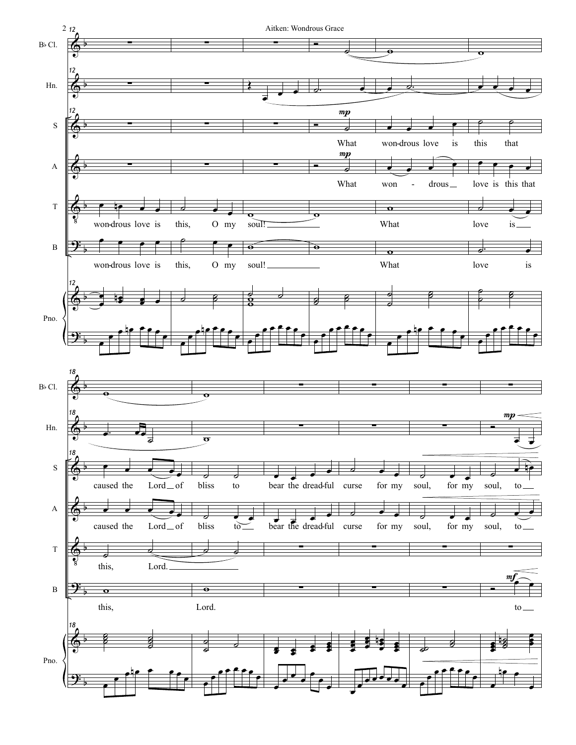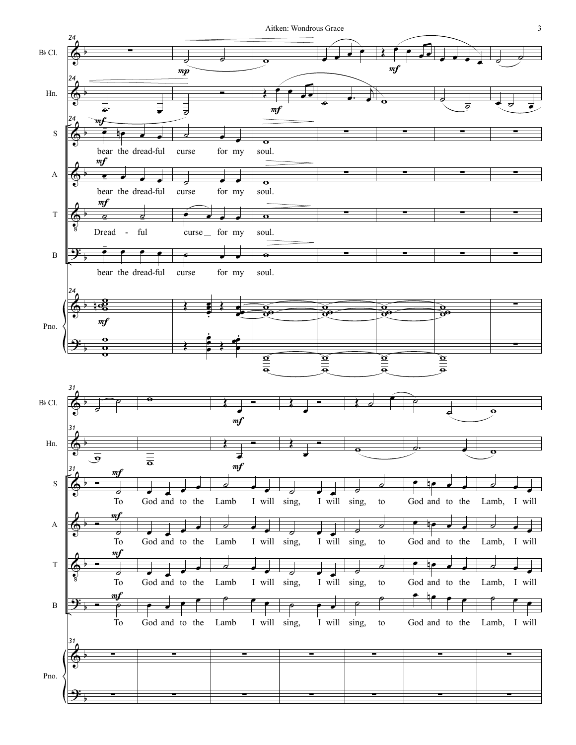Aitken: Wondrous Grace 3

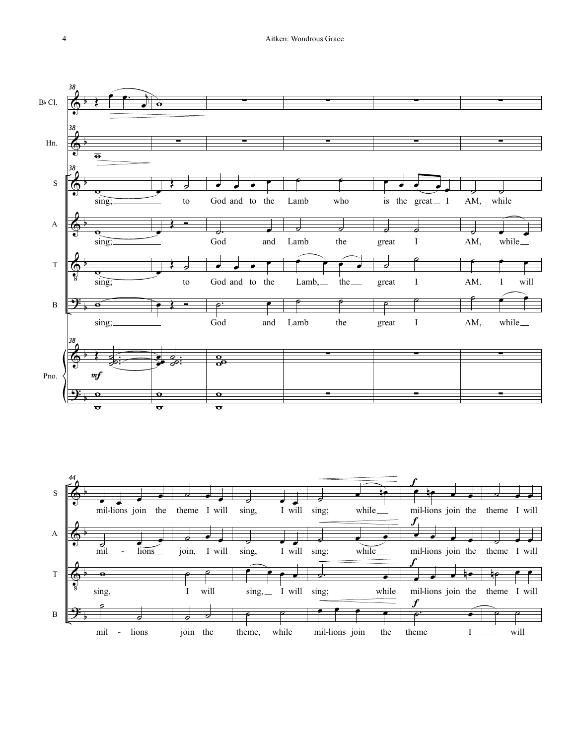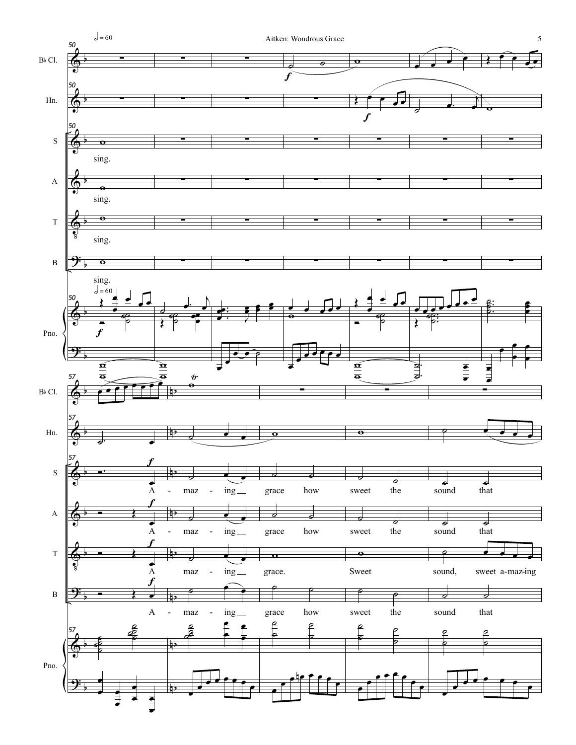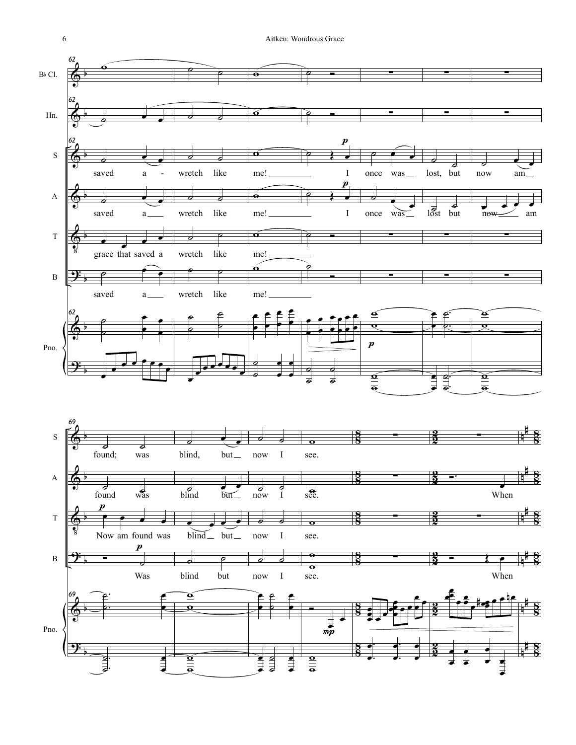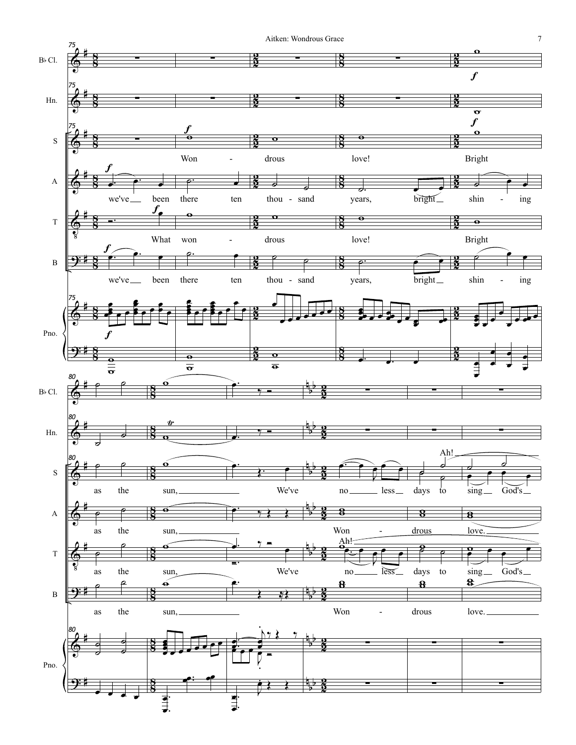